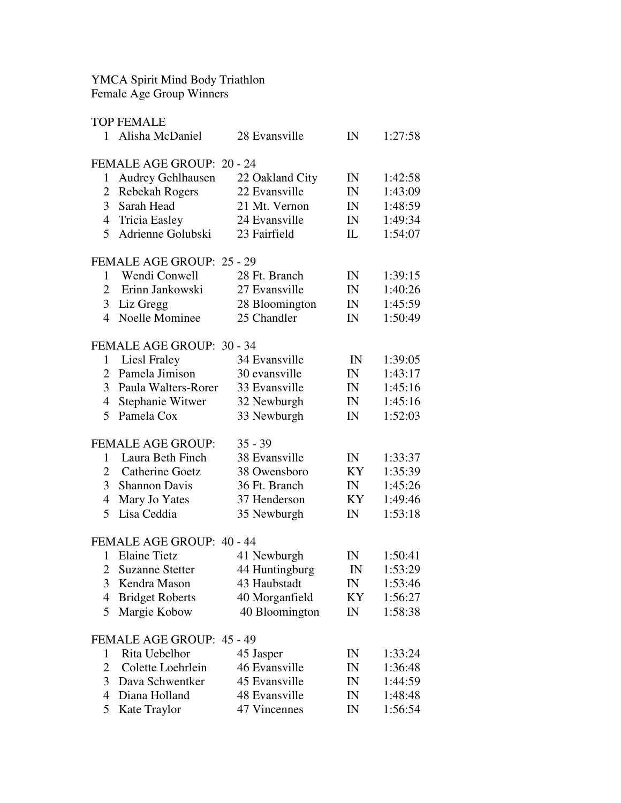YMCA Spirit Mind Body Triathlon Female Age Group Winners

|                | <b>TOP FEMALE</b>         |                 |              |         |
|----------------|---------------------------|-----------------|--------------|---------|
| $\mathbf{1}$   | Alisha McDaniel           | 28 Evansville   | IN           | 1:27:58 |
|                | FEMALE AGE GROUP: 20 - 24 |                 |              |         |
| 1              | Audrey Gehlhausen         | 22 Oakland City | IN           | 1:42:58 |
| 2              | <b>Rebekah Rogers</b>     | 22 Evansville   | IN           | 1:43:09 |
| 3              | Sarah Head                | 21 Mt. Vernon   | IN           | 1:48:59 |
| $\overline{4}$ | <b>Tricia Easley</b>      | 24 Evansville   | IN           | 1:49:34 |
| 5              | Adrienne Golubski         | 23 Fairfield    | IL           | 1:54:07 |
|                |                           |                 |              |         |
|                | FEMALE AGE GROUP: 25 - 29 |                 |              |         |
| 1              | Wendi Conwell             | 28 Ft. Branch   | IN           | 1:39:15 |
| $\overline{2}$ | Erinn Jankowski           | 27 Evansville   | IN           | 1:40:26 |
| 3              | Liz Gregg                 | 28 Bloomington  | IN           | 1:45:59 |
| 4              | Noelle Mominee            | 25 Chandler     | IN           | 1:50:49 |
|                | FEMALE AGE GROUP: 30 - 34 |                 |              |         |
| $\mathbf{1}$   | Liesl Fraley              | 34 Evansville   | IN           | 1:39:05 |
| $\overline{2}$ | Pamela Jimison            | 30 evansville   | IN           | 1:43:17 |
| 3              | Paula Walters-Rorer       | 33 Evansville   | IN           | 1:45:16 |
| $\overline{4}$ | Stephanie Witwer          | 32 Newburgh     | IN           | 1:45:16 |
| 5              | Pamela Cox                | 33 Newburgh     | IN           | 1:52:03 |
|                |                           |                 |              |         |
|                | <b>FEMALE AGE GROUP:</b>  | $35 - 39$       |              |         |
| 1              | Laura Beth Finch          | 38 Evansville   | IN           | 1:33:37 |
| $\overline{2}$ | Catherine Goetz           | 38 Owensboro    | KY           | 1:35:39 |
| $\overline{3}$ | <b>Shannon Davis</b>      | 36 Ft. Branch   | IN           | 1:45:26 |
| 4              | Mary Jo Yates             | 37 Henderson    | KY           | 1:49:46 |
| 5              | Lisa Ceddia               | 35 Newburgh     | IN           | 1:53:18 |
|                | FEMALE AGE GROUP: 40 - 44 |                 |              |         |
| 1              | <b>Elaine Tietz</b>       | 41 Newburgh     | IN           | 1:50:41 |
|                | 2 Suzanne Stetter         | 44 Huntingburg  | $\mathbb{N}$ | 1:53:29 |
| 3              | Kendra Mason              | 43 Haubstadt    | IN           | 1:53:46 |
| 4              | <b>Bridget Roberts</b>    | 40 Morganfield  | KY           | 1:56:27 |
| 5              | Margie Kobow              | 40 Bloomington  | IN           | 1:58:38 |
|                | FEMALE AGE GROUP: 45 - 49 |                 |              |         |
| 1              | Rita Uebelhor             | 45 Jasper       | IN           | 1:33:24 |
| $\overline{2}$ | Colette Loehrlein         | 46 Evansville   | IN           | 1:36:48 |
| 3              | Dava Schwentker           | 45 Evansville   | IN           | 1:44:59 |
| 4              | Diana Holland             | 48 Evansville   | IN           | 1:48:48 |
| 5              | Kate Traylor              | 47 Vincennes    | IN           | 1:56:54 |
|                |                           |                 |              |         |